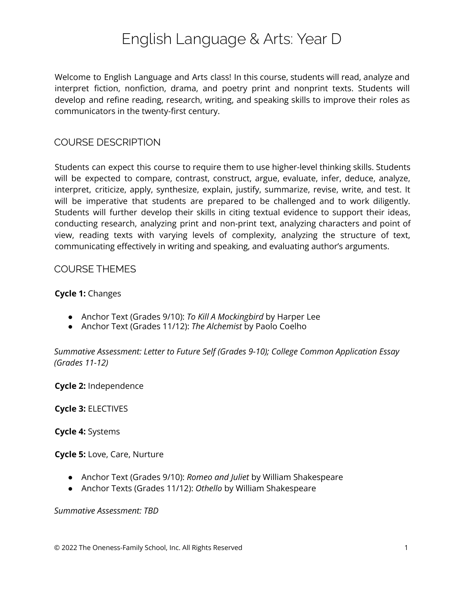# English Language & Arts: Year D

Welcome to English Language and Arts class! In this course, students will read, analyze and interpret fiction, nonfiction, drama, and poetry print and nonprint texts. Students will develop and refine reading, research, writing, and speaking skills to improve their roles as communicators in the twenty-first century.

## COURSE DESCRIPTION

Students can expect this course to require them to use higher-level thinking skills. Students will be expected to compare, contrast, construct, argue, evaluate, infer, deduce, analyze, interpret, criticize, apply, synthesize, explain, justify, summarize, revise, write, and test. It will be imperative that students are prepared to be challenged and to work diligently. Students will further develop their skills in citing textual evidence to support their ideas, conducting research, analyzing print and non-print text, analyzing characters and point of view, reading texts with varying levels of complexity, analyzing the structure of text, communicating effectively in writing and speaking, and evaluating author's arguments.

#### COURSE THEMES

#### **Cycle 1:** Changes

- Anchor Text (Grades 9/10): *To Kill A Mockingbird* by Harper Lee
- Anchor Text (Grades 11/12): *The Alchemist* by Paolo Coelho

*Summative Assessment: Letter to Future Self (Grades 9-10); College Common Application Essay (Grades 11-12)*

**Cycle 2:** Independence

**Cycle 3:** ELECTIVES

**Cycle 4:** Systems

**Cycle 5:** Love, Care, Nurture

- Anchor Text (Grades 9/10): *Romeo and Juliet* by William Shakespeare
- Anchor Texts (Grades 11/12): *Othello* by William Shakespeare

#### *Summative Assessment: TBD*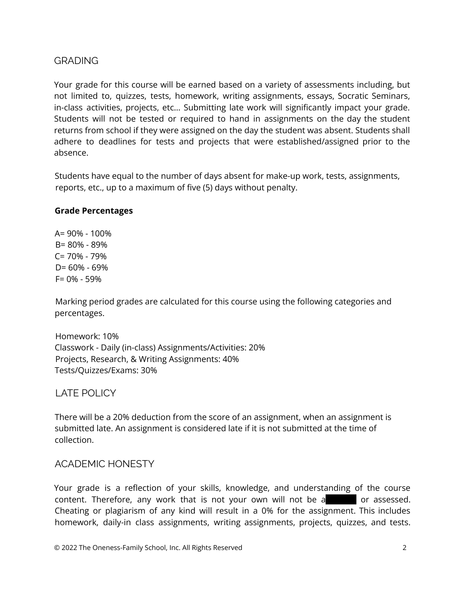## GRADING

Your grade for this course will be earned based on a variety of assessments including, but not limited to, quizzes, tests, homework, writing assignments, essays, Socratic Seminars, in-class activities, projects, etc… Submitting late work will significantly impact your grade. Students will not be tested or required to hand in assignments on the day the student returns from school if they were assigned on the day the student was absent. Students shall adhere to deadlines for tests and projects that were established/assigned prior to the absence.

Students have equal to the number of days absent for make-up work, tests, assignments, reports, etc., up to a maximum of five (5) days without penalty.

#### **Grade Percentages**

A= 90% - 100% B= 80% - 89%  $C = 70\% - 79\%$ D= 60% - 69% F= 0% - 59%

Marking period grades are calculated for this course using the following categories and percentages.

Homework: 10% Classwork - Daily (in-class) Assignments/Activities: 20% Projects, Research, & Writing Assignments: 40% Tests/Quizzes/Exams: 30%

LATE POLICY

There will be a 20% deduction from the score of an assignment, when an assignment is submitted late. An assignment is considered late if it is not submitted at the time of collection.

## ACADEMIC HONESTY

Your grade is a reflection of your skills, knowledge, and understanding of the course content. Therefore, any work that is not your own will not be a cassessed. Cheating or plagiarism of any kind will result in a 0% for the assignment. This includes homework, daily-in class assignments, writing assignments, projects, quizzes, and tests.